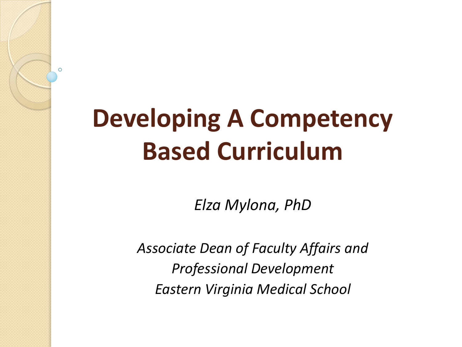#### **Developing A Competency Based Curriculum**

 $\Omega$ 

*Elza Mylona, PhD*

*Associate Dean of Faculty Affairs and Professional Development Eastern Virginia Medical School*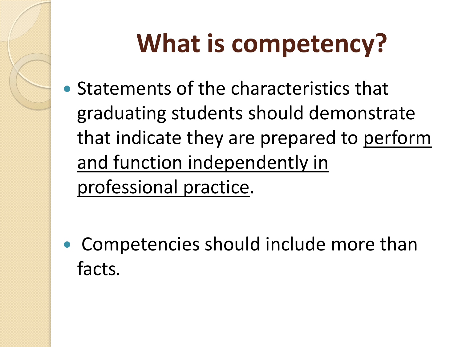## **What is competency?**

 Statements of the characteristics that graduating students should demonstrate that indicate they are prepared to perform and function independently in professional practice.

• Competencies should include more than facts*.*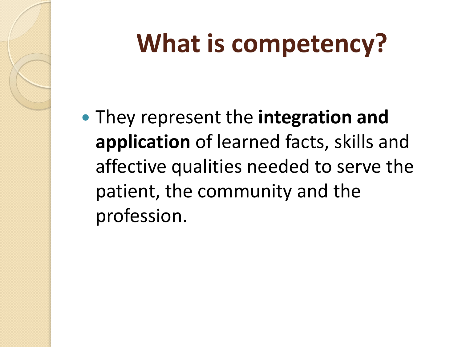## **What is competency?**

 They represent the **integration and application** of learned facts, skills and affective qualities needed to serve the patient, the community and the profession.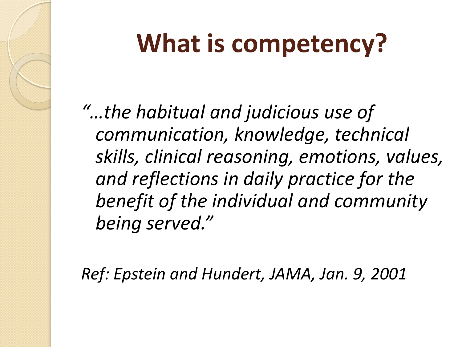## **What is competency?**

*"…the habitual and judicious use of communication, knowledge, technical skills, clinical reasoning, emotions, values, and reflections in daily practice for the benefit of the individual and community being served."*

*Ref: Epstein and Hundert, JAMA, Jan. 9, 2001*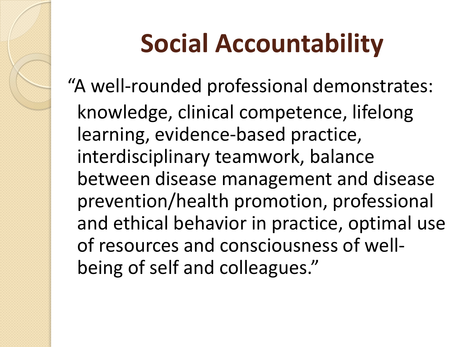## **Social Accountability**

"A well-rounded professional demonstrates: knowledge, clinical competence, lifelong learning, evidence-based practice, interdisciplinary teamwork, balance between disease management and disease prevention/health promotion, professional and ethical behavior in practice, optimal use of resources and consciousness of wellbeing of self and colleagues."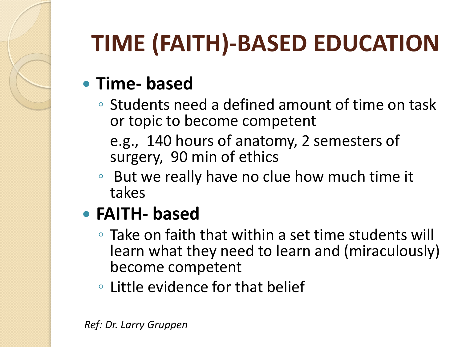#### **TIME (FAITH)-BASED EDUCATION**

#### **Time- based**

◦ Students need a defined amount of time on task or topic to become competent

e.g., 140 hours of anatomy, 2 semesters of surgery, 90 min of ethics

◦ But we really have no clue how much time it takes

#### **FAITH- based**

- Take on faith that within a set time students will learn what they need to learn and (miraculously) become competent
- Little evidence for that belief

*Ref: Dr. Larry Gruppen*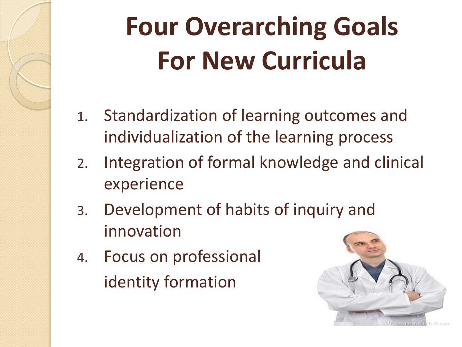## **Four Overarching Goals For New Curricula**

- 1. Standardization of learning outcomes and individualization of the learning process
- 2. Integration of formal knowledge and clinical experience
- 3. Development of habits of inquiry and innovation
- 4. Focus on professional identity formation

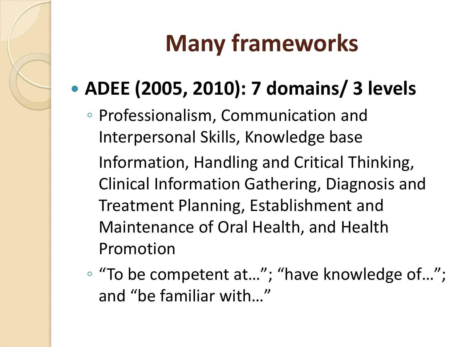#### **Many frameworks**

#### **ADEE (2005, 2010): 7 domains/ 3 levels**

◦ Professionalism, Communication and Interpersonal Skills, Knowledge base

Information, Handling and Critical Thinking, Clinical Information Gathering, Diagnosis and Treatment Planning, Establishment and Maintenance of Oral Health, and Health Promotion

◦ "To be competent at…"; "have knowledge of…"; and "be familiar with…"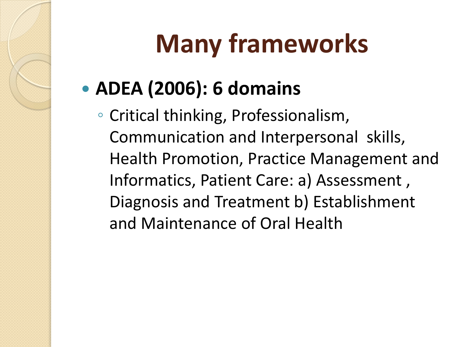## **Many frameworks**

#### **ADEA (2006): 6 domains**

◦ Critical thinking, Professionalism, Communication and Interpersonal skills, Health Promotion, Practice Management and Informatics, Patient Care: a) Assessment , Diagnosis and Treatment b) Establishment and Maintenance of Oral Health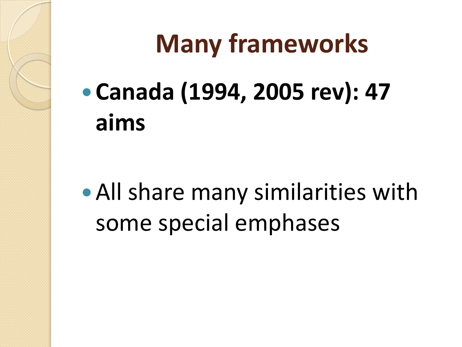#### **Many frameworks**

 **Canada (1994, 2005 rev): 47 aims**

All share many similarities with some special emphases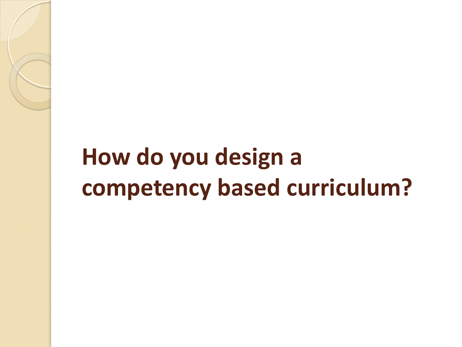#### **How do you design a competency based curriculum?**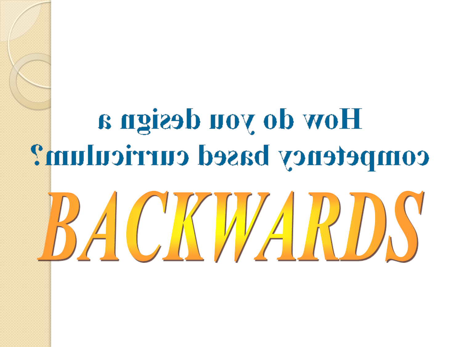# How do you design a competency based curriculum?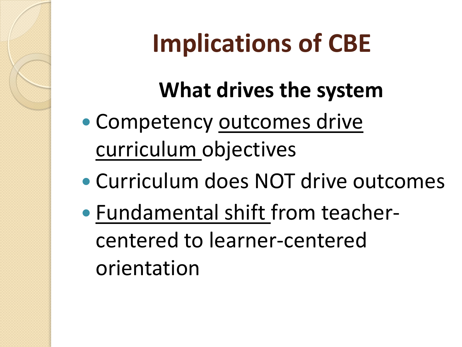#### **Implications of CBE**

#### **What drives the system**

- Competency outcomes drive curriculum objectives
- Curriculum does NOT drive outcomes
- Fundamental shift from teachercentered to learner-centered orientation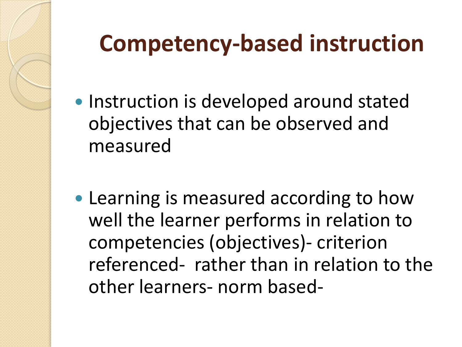#### **Competency-based instruction**

- Instruction is developed around stated objectives that can be observed and measured
- Learning is measured according to how well the learner performs in relation to competencies (objectives)- criterion referenced- rather than in relation to the other learners- norm based-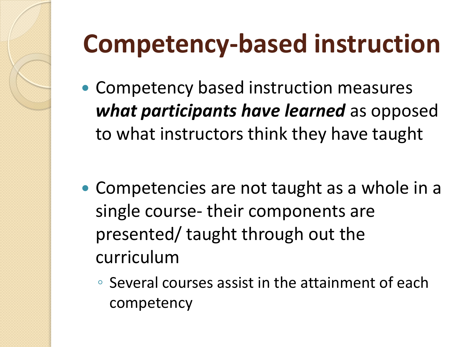#### **Competency-based instruction**

- Competency based instruction measures *what participants have learned* as opposed to what instructors think they have taught
- Competencies are not taught as a whole in a single course- their components are presented/ taught through out the curriculum
	- Several courses assist in the attainment of each competency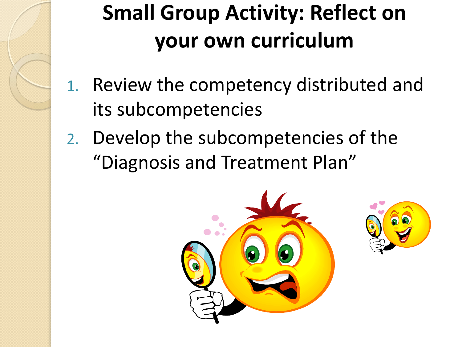## **Small Group Activity: Reflect on your own curriculum**

- 1. Review the competency distributed and its subcompetencies
- 2. Develop the subcompetencies of the "Diagnosis and Treatment Plan"



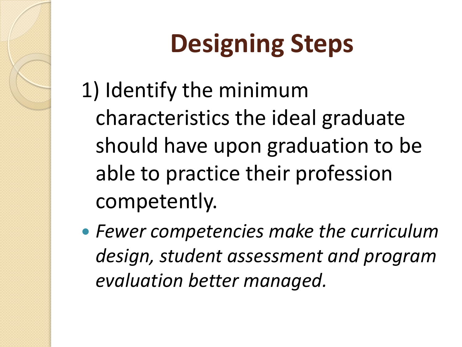1) Identify the minimum characteristics the ideal graduate should have upon graduation to be able to practice their profession competently.

 *Fewer competencies make the curriculum design, student assessment and program evaluation better managed.*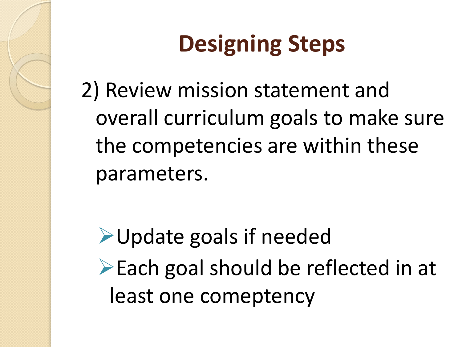2) Review mission statement and overall curriculum goals to make sure the competencies are within these parameters.

**► Update goals if needed**  $\triangleright$  Each goal should be reflected in at least one comeptency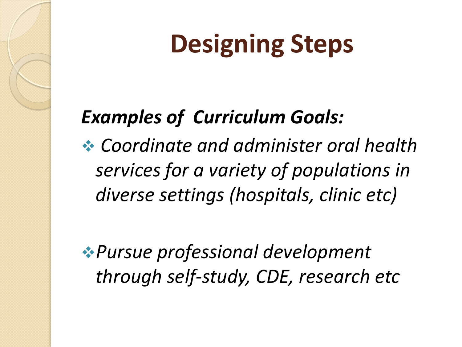#### *Examples of Curriculum Goals:*

 *Coordinate and administer oral health services for a variety of populations in diverse settings (hospitals, clinic etc)*

*Pursue professional development through self-study, CDE, research etc*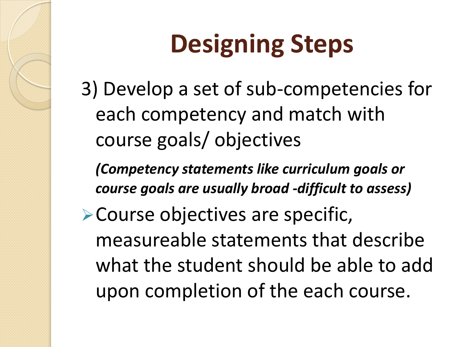3) Develop a set of sub-competencies for each competency and match with course goals/ objectives

*(Competency statements like curriculum goals or course goals are usually broad -difficult to assess)*

Course objectives are specific, measureable statements that describe what the student should be able to add upon completion of the each course.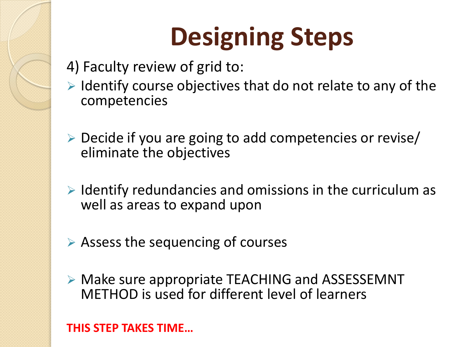- 4) Faculty review of grid to:
- $\triangleright$  Identify course objectives that do not relate to any of the competencies
- $\triangleright$  Decide if you are going to add competencies or revise/ eliminate the objectives
- $\triangleright$  Identify redundancies and omissions in the curriculum as well as areas to expand upon
- $\triangleright$  Assess the sequencing of courses
- Make sure appropriate TEACHING and ASSESSEMNT METHOD is used for different level of learners

**THIS STEP TAKES TIME…**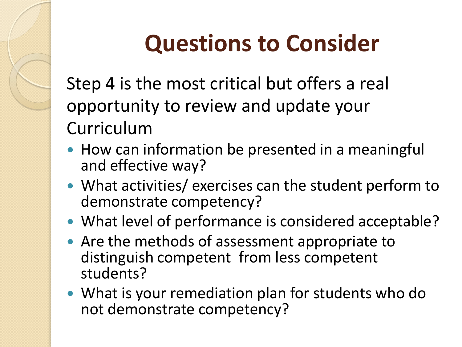#### **Questions to Consider**

Step 4 is the most critical but offers a real opportunity to review and update your Curriculum

- How can information be presented in a meaningful and effective way?
- What activities/ exercises can the student perform to demonstrate competency?
- What level of performance is considered acceptable?
- Are the methods of assessment appropriate to distinguish competent from less competent students?
- What is your remediation plan for students who do not demonstrate competency?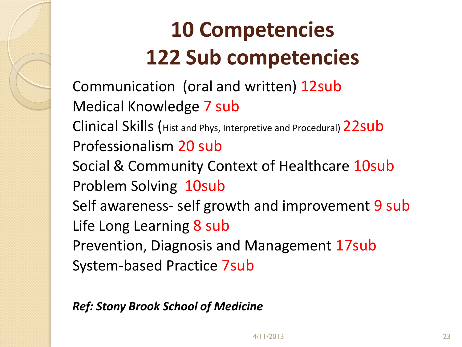#### **10 Competencies 122 Sub competencies**

Communication (oral and written) 12sub Medical Knowledge 7 sub Clinical Skills (Hist and Phys, Interpretive and Procedural) 22sub Professionalism 20 sub Social & Community Context of Healthcare 10sub Problem Solving 10sub Self awareness- self growth and improvement 9 sub Life Long Learning 8 sub Prevention, Diagnosis and Management 17sub System-based Practice 7sub

*Ref: Stony Brook School of Medicine*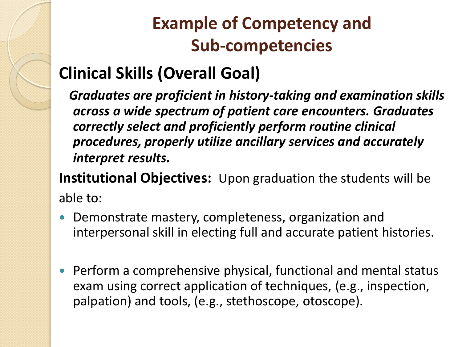#### **Example of Competency and Sub-competencies**

#### **Clinical Skills (Overall Goal)**

 *Graduates are proficient in history-taking and examination skills across a wide spectrum of patient care encounters. Graduates correctly select and proficiently perform routine clinical procedures, properly utilize ancillary services and accurately interpret results.*

**Institutional Objectives:** Upon graduation the students will be able to:

- Demonstrate mastery, completeness, organization and interpersonal skill in electing full and accurate patient histories.
- Perform a comprehensive physical, functional and mental status exam using correct application of techniques, (e.g., inspection, palpation) and tools, (e.g., stethoscope, otoscope).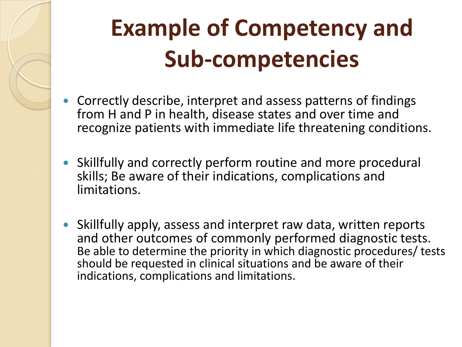#### **Example of Competency and Sub-competencies**

- Correctly describe, interpret and assess patterns of findings from H and P in health, disease states and over time and recognize patients with immediate life threatening conditions.
- Skillfully and correctly perform routine and more procedural skills; Be aware of their indications, complications and limitations.
- Skillfully apply, assess and interpret raw data, written reports and other outcomes of commonly performed diagnostic tests. Be able to determine the priority in which diagnostic procedures/ tests should be requested in clinical situations and be aware of their indications, complications and limitations.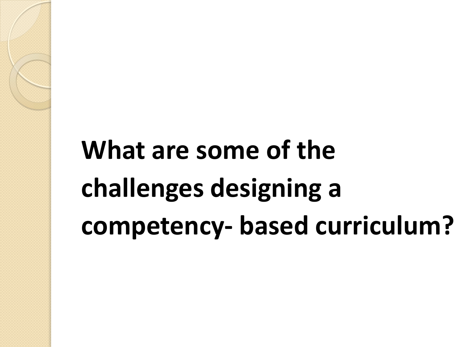## **What are some of the challenges designing a competency- based curriculum?**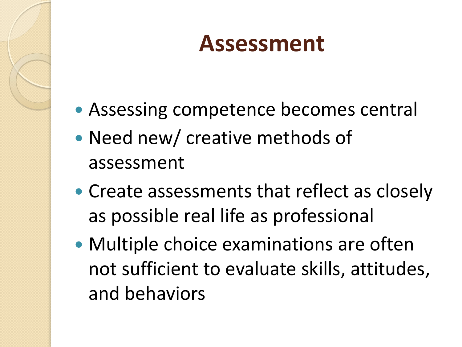#### **Assessment**

- Assessing competence becomes central
- Need new/ creative methods of assessment
- Create assessments that reflect as closely as possible real life as professional
- Multiple choice examinations are often not sufficient to evaluate skills, attitudes, and behaviors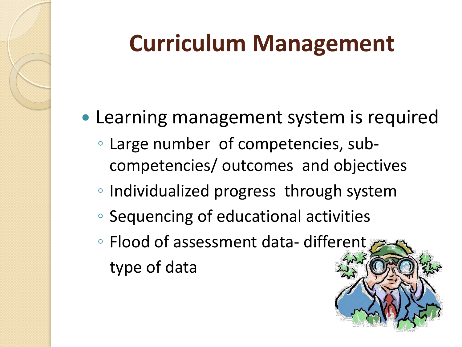#### **Curriculum Management**

- Learning management system is required
	- Large number of competencies, subcompetencies/ outcomes and objectives
	- Individualized progress through system
	- Sequencing of educational activities
	- Flood of assessment data- different type of data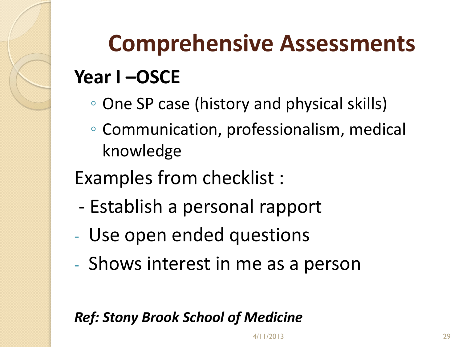## **Comprehensive Assessments Year I –OSCE**

- One SP case (history and physical skills)
- Communication, professionalism, medical knowledge

Examples from checklist :

- Establish a personal rapport
- Use open ended questions
- Shows interest in me as a person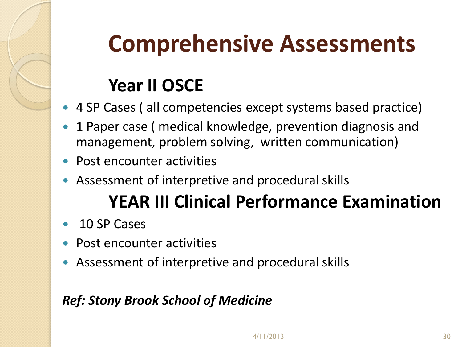#### **Comprehensive Assessments**

#### **Year II OSCE**

- 4 SP Cases ( all competencies except systems based practice)
- 1 Paper case ( medical knowledge, prevention diagnosis and management, problem solving, written communication)
- Post encounter activities
- Assessment of interpretive and procedural skills

#### **YEAR III Clinical Performance Examination**

- 10 SP Cases
- Post encounter activities
- Assessment of interpretive and procedural skills

#### *Ref: Stony Brook School of Medicine*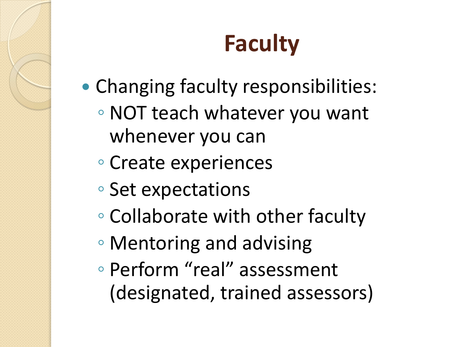#### **Faculty**

- Changing faculty responsibilities:
	- NOT teach whatever you want whenever you can
	- Create experiences
	- Set expectations
	- Collaborate with other faculty
	- Mentoring and advising
	- Perform "real" assessment (designated, trained assessors)